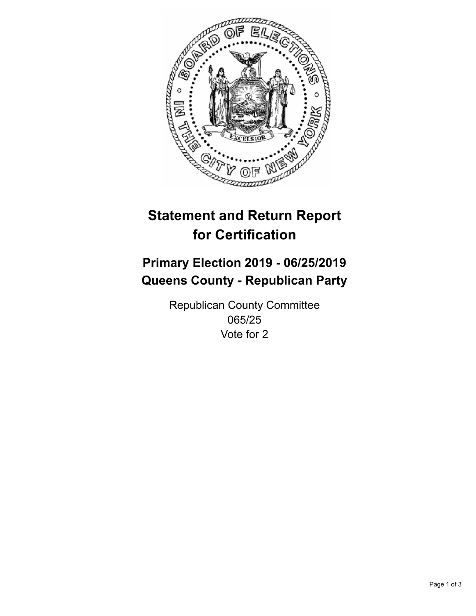

## **Statement and Return Report for Certification**

## **Primary Election 2019 - 06/25/2019 Queens County - Republican Party**

Republican County Committee 065/25 Vote for 2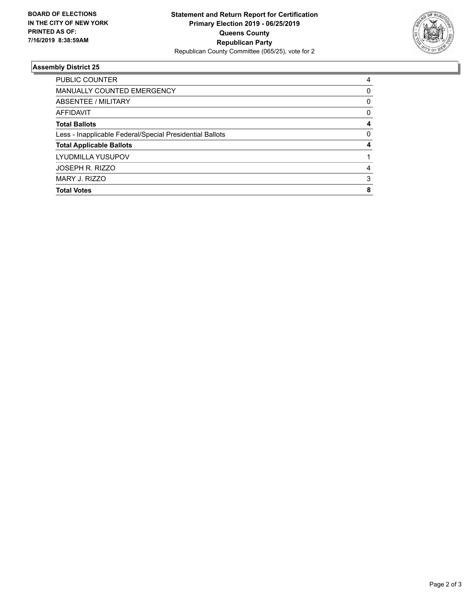

## **Assembly District 25**

| <b>Total Votes</b>                                       | 8        |
|----------------------------------------------------------|----------|
| MARY J. RIZZO                                            | 3        |
| JOSEPH R. RIZZO                                          | 4        |
| LYUDMILLA YUSUPOV                                        |          |
| <b>Total Applicable Ballots</b>                          | 4        |
| Less - Inapplicable Federal/Special Presidential Ballots | $\Omega$ |
| <b>Total Ballots</b>                                     | 4        |
| <b>AFFIDAVIT</b>                                         | 0        |
| ABSENTEE / MILITARY                                      | 0        |
| <b>MANUALLY COUNTED EMERGENCY</b>                        | 0        |
| PUBLIC COUNTER                                           | 4        |